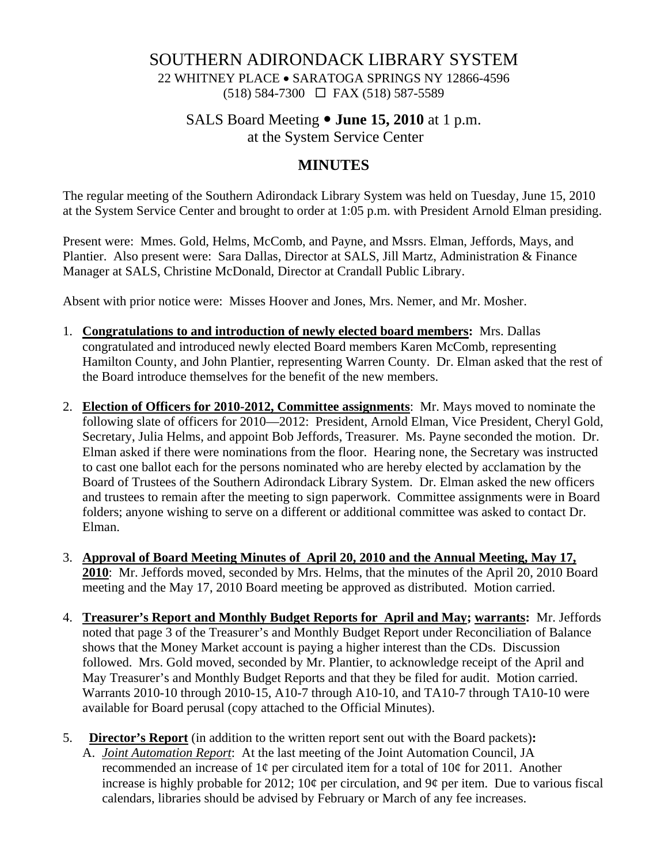# SOUTHERN ADIRONDACK LIBRARY SYSTEM

 22 WHITNEY PLACE • SARATOGA SPRINGS NY 12866-4596  $(518) 584-7300 \square$  FAX (518) 587-5589

# SALS Board Meeting  $\bullet$  **June 15, 2010** at 1 p.m.

at the System Service Center

# **MINUTES**

The regular meeting of the Southern Adirondack Library System was held on Tuesday, June 15, 2010 at the System Service Center and brought to order at 1:05 p.m. with President Arnold Elman presiding.

Present were: Mmes. Gold, Helms, McComb, and Payne, and Mssrs. Elman, Jeffords, Mays, and Plantier. Also present were: Sara Dallas, Director at SALS, Jill Martz, Administration & Finance Manager at SALS, Christine McDonald, Director at Crandall Public Library.

Absent with prior notice were: Misses Hoover and Jones, Mrs. Nemer, and Mr. Mosher.

- 1. **Congratulations to and introduction of newly elected board members:** Mrs. Dallas congratulated and introduced newly elected Board members Karen McComb, representing Hamilton County, and John Plantier, representing Warren County. Dr. Elman asked that the rest of the Board introduce themselves for the benefit of the new members.
- 2. **Election of Officers for 2010-2012, Committee assignments**: Mr. Mays moved to nominate the following slate of officers for 2010—2012: President, Arnold Elman, Vice President, Cheryl Gold, Secretary, Julia Helms, and appoint Bob Jeffords, Treasurer. Ms. Payne seconded the motion. Dr. Elman asked if there were nominations from the floor. Hearing none, the Secretary was instructed to cast one ballot each for the persons nominated who are hereby elected by acclamation by the Board of Trustees of the Southern Adirondack Library System. Dr. Elman asked the new officers and trustees to remain after the meeting to sign paperwork. Committee assignments were in Board folders; anyone wishing to serve on a different or additional committee was asked to contact Dr. Elman.
- 3. **Approval of Board Meeting Minutes of April 20, 2010 and the Annual Meeting, May 17, 2010**: Mr. Jeffords moved, seconded by Mrs. Helms, that the minutes of the April 20, 2010 Board meeting and the May 17, 2010 Board meeting be approved as distributed. Motion carried.
- 4. **Treasurer's Report and Monthly Budget Reports for April and May; warrants:** Mr. Jeffords noted that page 3 of the Treasurer's and Monthly Budget Report under Reconciliation of Balance shows that the Money Market account is paying a higher interest than the CDs. Discussion followed. Mrs. Gold moved, seconded by Mr. Plantier, to acknowledge receipt of the April and May Treasurer's and Monthly Budget Reports and that they be filed for audit. Motion carried. Warrants 2010-10 through 2010-15, A10-7 through A10-10, and TA10-7 through TA10-10 were available for Board perusal (copy attached to the Official Minutes).
- 5. **Director's Report** (in addition to the written report sent out with the Board packets)**:**
	- A. *Joint Automation Report*: At the last meeting of the Joint Automation Council, JA recommended an increase of  $1¢$  per circulated item for a total of  $10¢$  for 2011. Another increase is highly probable for 2012;  $10¢$  per circulation, and  $9¢$  per item. Due to various fiscal calendars, libraries should be advised by February or March of any fee increases.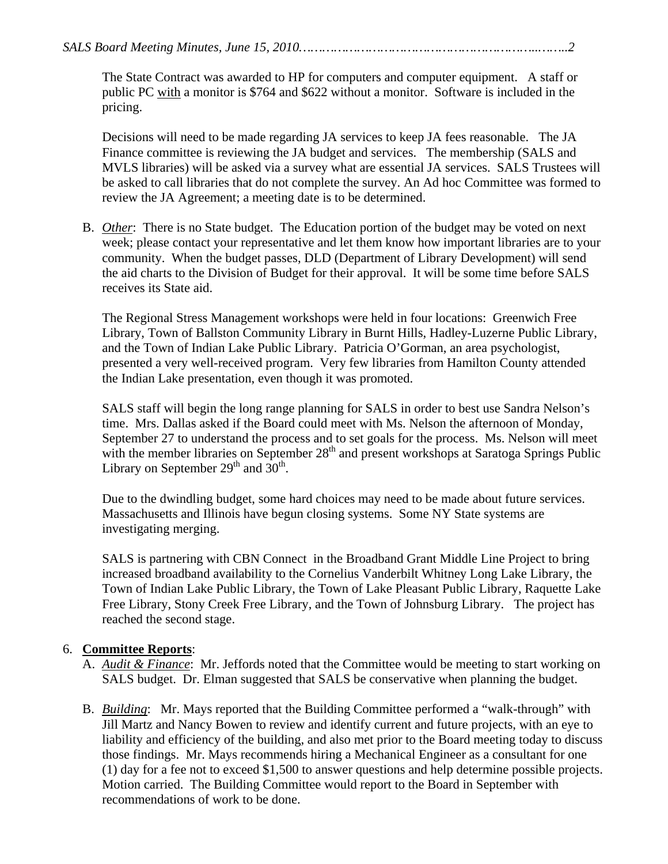*SALS Board Meeting Minutes, June 15, 2010……………………………………………………..……..2* 

The State Contract was awarded to HP for computers and computer equipment. A staff or public PC with a monitor is \$764 and \$622 without a monitor. Software is included in the pricing.

Decisions will need to be made regarding JA services to keep JA fees reasonable. The JA Finance committee is reviewing the JA budget and services. The membership (SALS and MVLS libraries) will be asked via a survey what are essential JA services. SALS Trustees will be asked to call libraries that do not complete the survey. An Ad hoc Committee was formed to review the JA Agreement; a meeting date is to be determined.

B. *Other*: There is no State budget. The Education portion of the budget may be voted on next week; please contact your representative and let them know how important libraries are to your community. When the budget passes, DLD (Department of Library Development) will send the aid charts to the Division of Budget for their approval. It will be some time before SALS receives its State aid.

The Regional Stress Management workshops were held in four locations: Greenwich Free Library, Town of Ballston Community Library in Burnt Hills, Hadley-Luzerne Public Library, and the Town of Indian Lake Public Library. Patricia O'Gorman, an area psychologist, presented a very well-received program. Very few libraries from Hamilton County attended the Indian Lake presentation, even though it was promoted.

SALS staff will begin the long range planning for SALS in order to best use Sandra Nelson's time. Mrs. Dallas asked if the Board could meet with Ms. Nelson the afternoon of Monday, September 27 to understand the process and to set goals for the process. Ms. Nelson will meet with the member libraries on September  $28<sup>th</sup>$  and present workshops at Saratoga Springs Public Library on September  $29<sup>th</sup>$  and  $30<sup>th</sup>$ .

Due to the dwindling budget, some hard choices may need to be made about future services. Massachusetts and Illinois have begun closing systems. Some NY State systems are investigating merging.

SALS is partnering with CBN Connect in the Broadband Grant Middle Line Project to bring increased broadband availability to the Cornelius Vanderbilt Whitney Long Lake Library, the Town of Indian Lake Public Library, the Town of Lake Pleasant Public Library, Raquette Lake Free Library, Stony Creek Free Library, and the Town of Johnsburg Library. The project has reached the second stage.

#### 6. **Committee Reports**:

- A. *Audit & Finance*: Mr. Jeffords noted that the Committee would be meeting to start working on SALS budget. Dr. Elman suggested that SALS be conservative when planning the budget.
- B. *Building*: Mr. Mays reported that the Building Committee performed a "walk-through" with Jill Martz and Nancy Bowen to review and identify current and future projects, with an eye to liability and efficiency of the building, and also met prior to the Board meeting today to discuss those findings. Mr. Mays recommends hiring a Mechanical Engineer as a consultant for one (1) day for a fee not to exceed \$1,500 to answer questions and help determine possible projects. Motion carried. The Building Committee would report to the Board in September with recommendations of work to be done.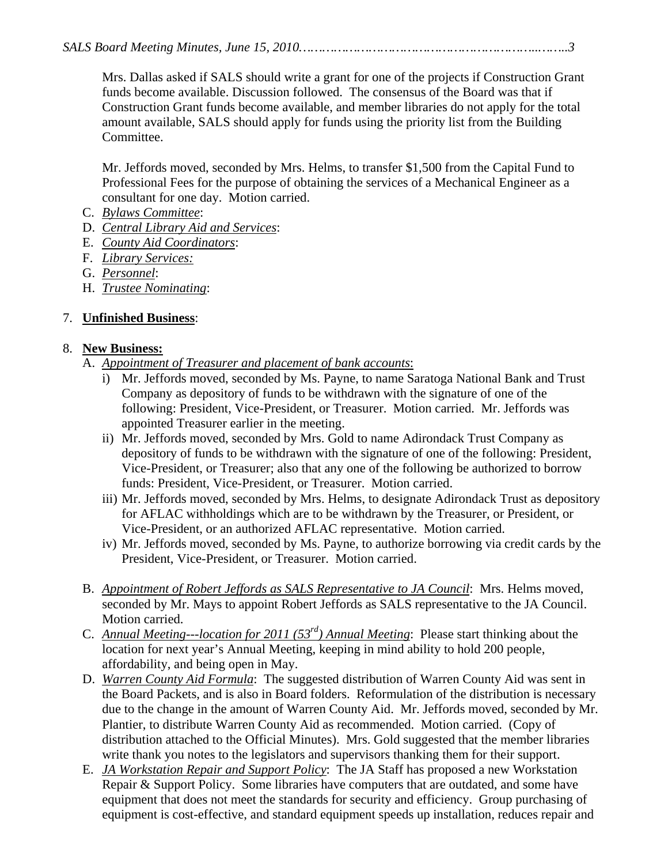Mrs. Dallas asked if SALS should write a grant for one of the projects if Construction Grant funds become available. Discussion followed. The consensus of the Board was that if Construction Grant funds become available, and member libraries do not apply for the total amount available, SALS should apply for funds using the priority list from the Building Committee.

Mr. Jeffords moved, seconded by Mrs. Helms, to transfer \$1,500 from the Capital Fund to Professional Fees for the purpose of obtaining the services of a Mechanical Engineer as a consultant for one day. Motion carried.

- C. *Bylaws Committee*:
- D. *Central Library Aid and Services*:
- E. *County Aid Coordinators*:
- F. *Library Services:*
- G. *Personnel*:
- H. *Trustee Nominating*:

## 7. **Unfinished Business**:

#### 8. **New Business:**

## A. *Appointment of Treasurer and placement of bank accounts*:

- i) Mr. Jeffords moved, seconded by Ms. Payne, to name Saratoga National Bank and Trust Company as depository of funds to be withdrawn with the signature of one of the following: President, Vice-President, or Treasurer. Motion carried. Mr. Jeffords was appointed Treasurer earlier in the meeting.
- ii) Mr. Jeffords moved, seconded by Mrs. Gold to name Adirondack Trust Company as depository of funds to be withdrawn with the signature of one of the following: President, Vice-President, or Treasurer; also that any one of the following be authorized to borrow funds: President, Vice-President, or Treasurer. Motion carried.
- iii) Mr. Jeffords moved, seconded by Mrs. Helms, to designate Adirondack Trust as depository for AFLAC withholdings which are to be withdrawn by the Treasurer, or President, or Vice-President, or an authorized AFLAC representative. Motion carried.
- iv) Mr. Jeffords moved, seconded by Ms. Payne, to authorize borrowing via credit cards by the President, Vice-President, or Treasurer. Motion carried.
- B. *Appointment of Robert Jeffords as SALS Representative to JA Council*: Mrs. Helms moved, seconded by Mr. Mays to appoint Robert Jeffords as SALS representative to the JA Council. Motion carried.
- C. *Annual Meeting---location for 2011 (53rd) Annual Meeting*: Please start thinking about the location for next year's Annual Meeting, keeping in mind ability to hold 200 people, affordability, and being open in May.
- D. *Warren County Aid Formula*: The suggested distribution of Warren County Aid was sent in the Board Packets, and is also in Board folders. Reformulation of the distribution is necessary due to the change in the amount of Warren County Aid. Mr. Jeffords moved, seconded by Mr. Plantier, to distribute Warren County Aid as recommended. Motion carried. (Copy of distribution attached to the Official Minutes). Mrs. Gold suggested that the member libraries write thank you notes to the legislators and supervisors thanking them for their support.
- E. *JA Workstation Repair and Support Policy*: The JA Staff has proposed a new Workstation Repair & Support Policy. Some libraries have computers that are outdated, and some have equipment that does not meet the standards for security and efficiency. Group purchasing of equipment is cost-effective, and standard equipment speeds up installation, reduces repair and